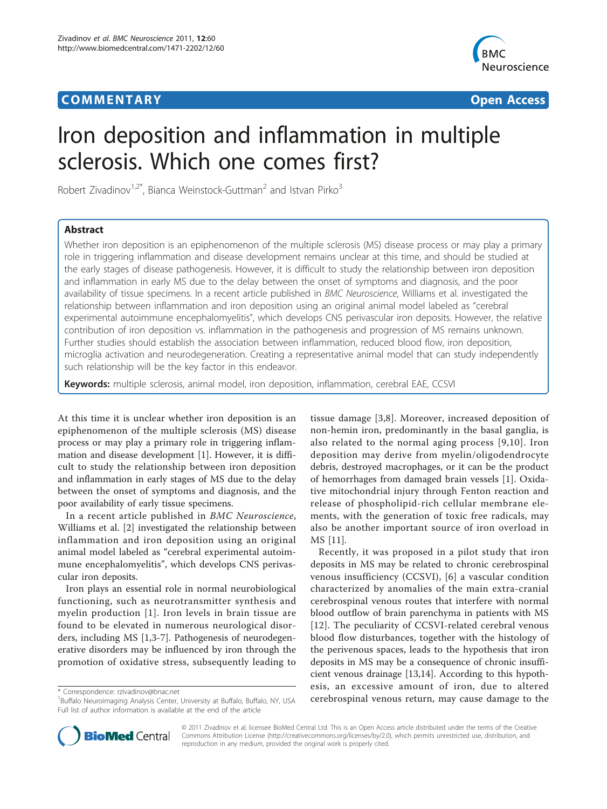# **COMMENTARY COMMENTARY Open Access**



# Iron deposition and inflammation in multiple sclerosis. Which one comes first?

Robert Zivadinov<sup>1,2\*</sup>, Bianca Weinstock-Guttman<sup>2</sup> and Istvan Pirko<sup>3</sup>

## Abstract

Whether iron deposition is an epiphenomenon of the multiple sclerosis (MS) disease process or may play a primary role in triggering inflammation and disease development remains unclear at this time, and should be studied at the early stages of disease pathogenesis. However, it is difficult to study the relationship between iron deposition and inflammation in early MS due to the delay between the onset of symptoms and diagnosis, and the poor availability of tissue specimens. In a recent article published in BMC Neuroscience, Williams et al. investigated the relationship between inflammation and iron deposition using an original animal model labeled as "cerebral experimental autoimmune encephalomyelitis", which develops CNS perivascular iron deposits. However, the relative contribution of iron deposition vs. inflammation in the pathogenesis and progression of MS remains unknown. Further studies should establish the association between inflammation, reduced blood flow, iron deposition, microglia activation and neurodegeneration. Creating a representative animal model that can study independently such relationship will be the key factor in this endeavor.

Keywords: multiple sclerosis, animal model, iron deposition, inflammation, cerebral EAE, CCSVI

At this time it is unclear whether iron deposition is an epiphenomenon of the multiple sclerosis (MS) disease process or may play a primary role in triggering inflammation and disease development [\[1](#page-2-0)]. However, it is difficult to study the relationship between iron deposition and inflammation in early stages of MS due to the delay between the onset of symptoms and diagnosis, and the poor availability of early tissue specimens.

In a recent article published in BMC Neuroscience, Williams et al. [[2\]](#page-2-0) investigated the relationship between inflammation and iron deposition using an original animal model labeled as "cerebral experimental autoimmune encephalomyelitis", which develops CNS perivascular iron deposits.

Iron plays an essential role in normal neurobiological functioning, such as neurotransmitter synthesis and myelin production [[1](#page-2-0)]. Iron levels in brain tissue are found to be elevated in numerous neurological disorders, including MS [[1,3-7](#page-2-0)]. Pathogenesis of neurodegenerative disorders may be influenced by iron through the promotion of oxidative stress, subsequently leading to

tissue damage [[3](#page-2-0),[8\]](#page-2-0). Moreover, increased deposition of non-hemin iron, predominantly in the basal ganglia, is also related to the normal aging process [[9](#page-2-0),[10](#page-2-0)]. Iron deposition may derive from myelin/oligodendrocyte debris, destroyed macrophages, or it can be the product of hemorrhages from damaged brain vessels [\[1](#page-2-0)]. Oxidative mitochondrial injury through Fenton reaction and release of phospholipid-rich cellular membrane elements, with the generation of toxic free radicals, may also be another important source of iron overload in MS [\[11\]](#page-2-0).

Recently, it was proposed in a pilot study that iron deposits in MS may be related to chronic cerebrospinal venous insufficiency (CCSVI), [[6](#page-2-0)] a vascular condition characterized by anomalies of the main extra-cranial cerebrospinal venous routes that interfere with normal blood outflow of brain parenchyma in patients with MS [[12](#page-2-0)]. The peculiarity of CCSVI-related cerebral venous blood flow disturbances, together with the histology of the perivenous spaces, leads to the hypothesis that iron deposits in MS may be a consequence of chronic insufficient venous drainage [[13,14\]](#page-2-0). According to this hypothesis, an excessive amount of iron, due to altered correspondence: [rzivadinov@bnac.net](mailto:rzivadinov@bnac.net)<br>
<sup>1</sup>Buffalo Neuroimaging Analysis Center. University at Buffalo. Buffalo. NY. USA **cerebrospinal venous return, may cause damage to the** 



© 2011 Zivadinov et al; licensee BioMed Central Ltd. This is an Open Access article distributed under the terms of the Creative Commons Attribution License [\(http://creativecommons.org/licenses/by/2.0](http://creativecommons.org/licenses/by/2.0)), which permits unrestricted use, distribution, and reproduction in any medium, provided the original work is properly cited.

<sup>&</sup>lt;sup>1</sup>Buffalo Neuroimaging Analysis Center, University at Buffalo, Buffalo, NY, USA Full list of author information is available at the end of the article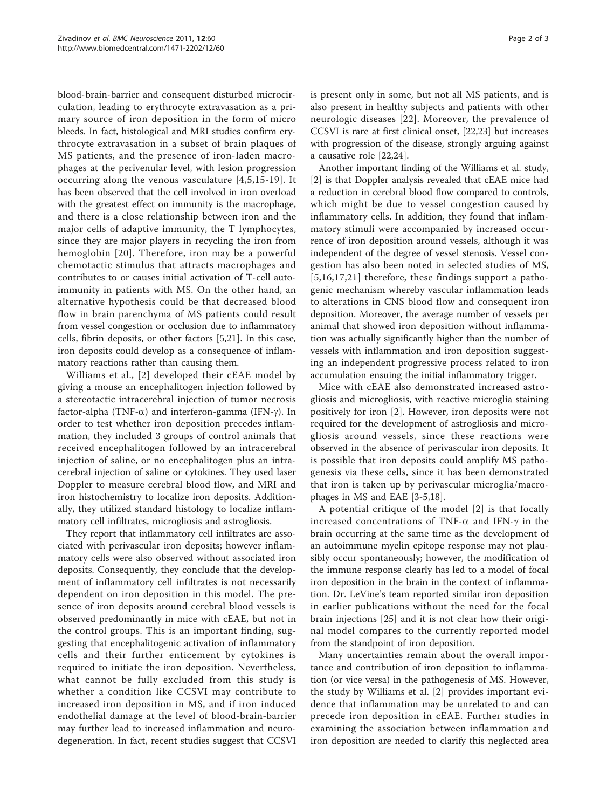blood-brain-barrier and consequent disturbed microcirculation, leading to erythrocyte extravasation as a primary source of iron deposition in the form of micro bleeds. In fact, histological and MRI studies confirm erythrocyte extravasation in a subset of brain plaques of MS patients, and the presence of iron-laden macrophages at the perivenular level, with lesion progression occurring along the venous vasculature [[4](#page-2-0),[5,15](#page-2-0)-[19\]](#page-2-0). It has been observed that the cell involved in iron overload with the greatest effect on immunity is the macrophage, and there is a close relationship between iron and the major cells of adaptive immunity, the T lymphocytes, since they are major players in recycling the iron from hemoglobin [[20\]](#page-2-0). Therefore, iron may be a powerful chemotactic stimulus that attracts macrophages and contributes to or causes initial activation of T-cell autoimmunity in patients with MS. On the other hand, an alternative hypothesis could be that decreased blood flow in brain parenchyma of MS patients could result from vessel congestion or occlusion due to inflammatory cells, fibrin deposits, or other factors [[5](#page-2-0),[21](#page-2-0)]. In this case, iron deposits could develop as a consequence of inflammatory reactions rather than causing them.

Williams et al., [[2\]](#page-2-0) developed their cEAE model by giving a mouse an encephalitogen injection followed by a stereotactic intracerebral injection of tumor necrosis factor-alpha (TNF- $\alpha$ ) and interferon-gamma (IFN- $\gamma$ ). In order to test whether iron deposition precedes inflammation, they included 3 groups of control animals that received encephalitogen followed by an intracerebral injection of saline, or no encephalitogen plus an intracerebral injection of saline or cytokines. They used laser Doppler to measure cerebral blood flow, and MRI and iron histochemistry to localize iron deposits. Additionally, they utilized standard histology to localize inflammatory cell infiltrates, microgliosis and astrogliosis.

They report that inflammatory cell infiltrates are associated with perivascular iron deposits; however inflammatory cells were also observed without associated iron deposits. Consequently, they conclude that the development of inflammatory cell infiltrates is not necessarily dependent on iron deposition in this model. The presence of iron deposits around cerebral blood vessels is observed predominantly in mice with cEAE, but not in the control groups. This is an important finding, suggesting that encephalitogenic activation of inflammatory cells and their further enticement by cytokines is required to initiate the iron deposition. Nevertheless, what cannot be fully excluded from this study is whether a condition like CCSVI may contribute to increased iron deposition in MS, and if iron induced endothelial damage at the level of blood-brain-barrier may further lead to increased inflammation and neurodegeneration. In fact, recent studies suggest that CCSVI is present only in some, but not all MS patients, and is also present in healthy subjects and patients with other neurologic diseases [[22](#page-2-0)]. Moreover, the prevalence of CCSVI is rare at first clinical onset, [\[22,23\]](#page-2-0) but increases with progression of the disease, strongly arguing against a causative role [\[22,24](#page-2-0)].

Another important finding of the Williams et al. study, [[2\]](#page-2-0) is that Doppler analysis revealed that cEAE mice had a reduction in cerebral blood flow compared to controls, which might be due to vessel congestion caused by inflammatory cells. In addition, they found that inflammatory stimuli were accompanied by increased occurrence of iron deposition around vessels, although it was independent of the degree of vessel stenosis. Vessel congestion has also been noted in selected studies of MS, [[5](#page-2-0),[16,17](#page-2-0),[21](#page-2-0)] therefore, these findings support a pathogenic mechanism whereby vascular inflammation leads to alterations in CNS blood flow and consequent iron deposition. Moreover, the average number of vessels per animal that showed iron deposition without inflammation was actually significantly higher than the number of vessels with inflammation and iron deposition suggesting an independent progressive process related to iron accumulation ensuing the initial inflammatory trigger.

Mice with cEAE also demonstrated increased astrogliosis and microgliosis, with reactive microglia staining positively for iron [[2\]](#page-2-0). However, iron deposits were not required for the development of astrogliosis and microgliosis around vessels, since these reactions were observed in the absence of perivascular iron deposits. It is possible that iron deposits could amplify MS pathogenesis via these cells, since it has been demonstrated that iron is taken up by perivascular microglia/macrophages in MS and EAE [[3-5,18\]](#page-2-0).

A potential critique of the model [[2\]](#page-2-0) is that focally increased concentrations of TNF- $\alpha$  and IFN- $\gamma$  in the brain occurring at the same time as the development of an autoimmune myelin epitope response may not plausibly occur spontaneously; however, the modification of the immune response clearly has led to a model of focal iron deposition in the brain in the context of inflammation. Dr. LeVine's team reported similar iron deposition in earlier publications without the need for the focal brain injections [[25\]](#page-2-0) and it is not clear how their original model compares to the currently reported model from the standpoint of iron deposition.

Many uncertainties remain about the overall importance and contribution of iron deposition to inflammation (or vice versa) in the pathogenesis of MS. However, the study by Williams et al. [[2\]](#page-2-0) provides important evidence that inflammation may be unrelated to and can precede iron deposition in cEAE. Further studies in examining the association between inflammation and iron deposition are needed to clarify this neglected area